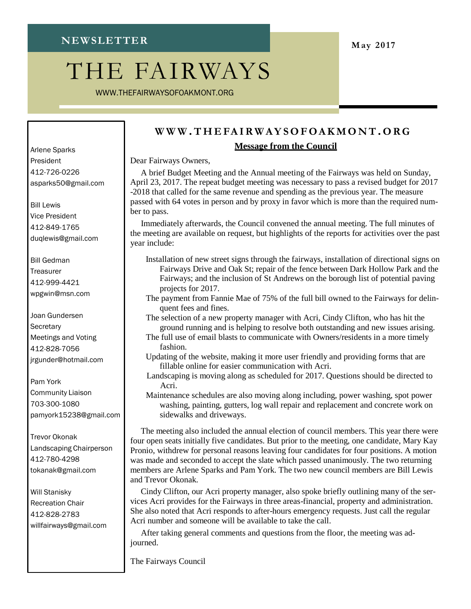# THE FAIRWAYS

[WWW.THEFAIRWAYSOFOAKMONT.ORG](http://www.thefairwaysofoakmont.org/)

#### **[W W](http://www/) W .T H E FAIR W AY SOF OAK MO N T. OR G**

#### **Message from the Council**

Dear Fairways Owners,

A brief Budget Meeting and the Annual meeting of the Fairways was held on Sunday, April 23, 2017. The repeat budget meeting was necessary to pass a revised budget for 2017 -2018 that called for the same revenue and spending as the previous year. The measure passed with 64 votes in person and by proxy in favor which is more than the required number to pass.

Immediately afterwards, the Council convened the annual meeting. The full minutes of the meeting are available on request, but highlights of the reports for activities over the past year include:

- Installation of new street signs through the fairways, installation of directional signs on Fairways Drive and Oak St; repair of the fence between Dark Hollow Park and the Fairways; and the inclusion of St Andrews on the borough list of potential paving projects for 2017.
- The payment from Fannie Mae of 75% of the full bill owned to the Fairways for delinquent fees and fines.
- The selection of a new property manager with Acri, Cindy Clifton, who has hit the ground running and is helping to resolve both outstanding and new issues arising.
- The full use of email blasts to communicate with Owners/residents in a more timely fashion.
- Updating of the website, making it more user friendly and providing forms that are fillable online for easier communication with Acri.
- Landscaping is moving along as scheduled for 2017. Questions should be directed to Acri.
- Maintenance schedules are also moving along including, power washing, spot power washing, painting, gutters, log wall repair and replacement and concrete work on sidewalks and driveways.

The meeting also included the annual election of council members. This year there were four open seats initially five candidates. But prior to the meeting, one candidate, Mary Kay Pronio, withdrew for personal reasons leaving four candidates for four positions. A motion was made and seconded to accept the slate which passed unanimously. The two returning members are Arlene Sparks and Pam York. The two new council members are Bill Lewis and Trevor Okonak.

Cindy Clifton, our Acri property manager, also spoke briefly outlining many of the services Acri provides for the Fairways in three areas-financial, property and administration. She also noted that Acri responds to after-hours emergency requests. Just call the regular Acri number and someone will be available to take the call.

After taking general comments and questions from the floor, the meeting was adjourned.

The Fairways Council

Arlene Sparks President 412-726-022[6](mailto:asparks50@gmail.com) [asparks50@gmail.com](mailto:asparks50@gmail.com)

Bill Lewis Vice President 412-849-176[5](mailto:duqlewis@gmail.com) [duqlewis@gmail.com](mailto:duqlewis@gmail.com)

Bill Gedman **Treasurer** 412-999-442[1](mailto:wpgwin@msn.com) [wpgwin@msn.com](mailto:wpgwin@msn.com)

Joan Gundersen **Secretary** Meetings and Voting 412-828-705[6](mailto:jrgunder@hotmail.com) [jrgunder@hotmail.com](mailto:jrgunder@hotmail.com)

Pam York Community Liaison 703-300-108[0](mailto:pamyork15238@gmail.com) [pamyork15238@gmail.com](mailto:pamyork15238@gmail.com)

Trevor Okonak Landscaping Chairperson 412-780-429[8](mailto:tokanak@gmail.com) [tokanak@gmail.com](mailto:tokanak@gmail.com)

Will Stanisky Recreation Chair 412-828-278[3](mailto:willfairways@gmail.com) [willfairways@gmail.com](mailto:willfairways@gmail.com)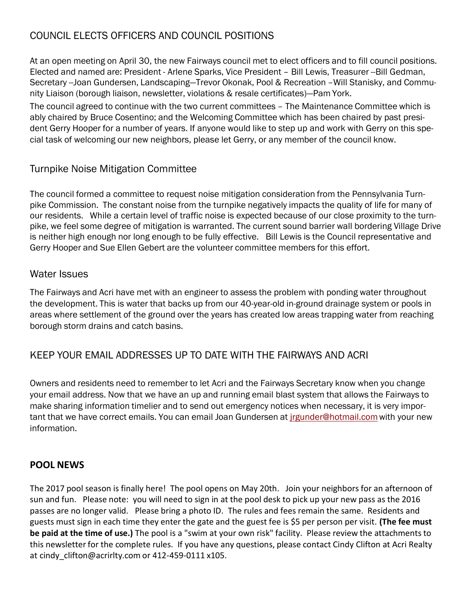### COUNCIL ELECTS OFFICERS AND COUNCIL POSITIONS

At an open meeting on April 30, the new Fairways council met to elect officers and to fill council positions. Elected and named are: President - Arlene Sparks, Vice President – Bill Lewis, Treasurer --Bill Gedman, Secretary --Joan Gundersen, Landscaping—Trevor Okonak, Pool & Recreation –Will Stanisky, and Community Liaison (borough liaison, newsletter, violations & resale certificates)—Pam York.

The council agreed to continue with the two current committees – The Maintenance Committee which is ably chaired by Bruce Cosentino; and the Welcoming Committee which has been chaired by past president Gerry Hooper for a number of years. If anyone would like to step up and work with Gerry on this special task of welcoming our new neighbors, please let Gerry, or any member of the council know.

#### Turnpike Noise Mitigation Committee

The council formed a committee to request noise mitigation consideration from the Pennsylvania Turnpike Commission. The constant noise from the turnpike negatively impacts the quality of life for many of our residents. While a certain level of traffic noise is expected because of our close proximity to the turnpike, we feel some degree of mitigation is warranted. The current sound barrier wall bordering Village Drive is neither high enough nor long enough to be fully effective. Bill Lewis is the Council representative and Gerry Hooper and Sue Ellen Gebert are the volunteer committee members for this effort.

#### Water Issues

The Fairways and Acri have met with an engineer to assess the problem with ponding water throughout the development. This is water that backs up from our 40-year-old in-ground drainage system or pools in areas where settlement of the ground over the years has created low areas trapping water from reaching borough storm drains and catch basins.

#### KEEP YOUR EMAIL ADDRESSES UP TO DATE WITH THE FAIRWAYS AND ACRI

Owners and residents need to remember to let Acri and the Fairways Secretary know when you change your email address. Now that we have an up and running email blast system that allows the Fairways to make sharing information timelier and to send out emergency notices when necessary, it is very important that we have correct emails. You can email Joan Gundersen at [jrgunder@hotmail.com](mailto:jrgunder@hotmail.com) with your new information.

#### **POOL NEWS**

The 2017 pool season is finally here! The pool opens on May 20th. Join your neighbors for an afternoon of sun and fun. Please note: you will need to sign in at the pool desk to pick up your new pass as the 2016 passes are no longer valid. Please bring a photo ID. The rules and fees remain the same. Residents and guests must sign in each time they enter the gate and the guest fee is \$5 per person per visit. **(The fee must be paid at the time of use.)** The pool is a "swim at your own risk" facility. Please review the attachmentsto this newsletter for the complete rules. If you have any questions, please contact Cindy Clifton at Acri Realty at cindy clifton@acrirlty.com or 412-459-0111 x105.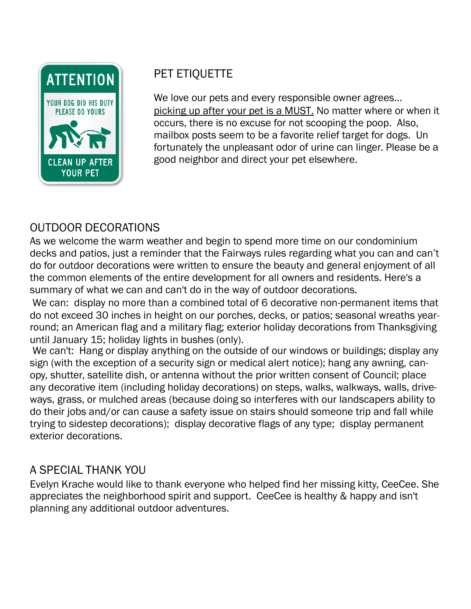

# PET ETIQUETTE

We love our pets and every responsible owner agrees… picking up after your pet is a MUST. No matter where or when it occurs, there is no excuse for not scooping the poop. Also, mailbox posts seem to be a favorite relief target for dogs. Un fortunately the unpleasant odor of urine can linger. Please be a good neighbor and direct your pet elsewhere.

# OUTDOOR DECORATIONS

As we welcome the warm weather and begin to spend more time on our condominium decks and patios, just a reminder that the Fairways rules regarding what you can and can't do for outdoor decorations were written to ensure the beauty and general enjoyment of all the common elements of the entire development for all owners and residents. Here's a summary of what we can and can't do in the way of outdoor decorations.

We can: display no more than a combined total of 6 decorative non-permanent items that do not exceed 30 inches in height on our porches, decks, or patios; seasonal wreaths yearround; an American flag and a military flag; exterior holiday decorations from Thanksgiving until January 15; holiday lights in bushes (only).

We can't: Hang or display anything on the outside of our windows or buildings; display any sign (with the exception of a security sign or medical alert notice); hang any awning, canopy, shutter, satellite dish, or antenna without the prior written consent of Council; place any decorative item (including holiday decorations) on steps, walks, walkways, walls, driveways, grass, or mulched areas (because doing so interferes with our landscapers ability to do their jobs and/or can cause a safety issue on stairs should someone trip and fall while trying to sidestep decorations); display decorative flags of any type; display permanent exterior decorations.

# A SPECIAL THANK YOU

Evelyn Krache would like to thank everyone who helped find her missing kitty, CeeCee. She appreciates the neighborhood spirit and support. CeeCee is healthy & happy and isn't planning any additional outdoor adventures.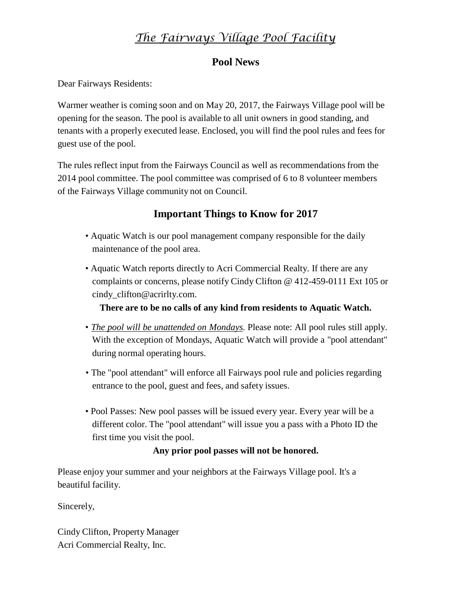# *The Fairways Village Pool Facility*

#### **Pool News**

Dear Fairways Residents:

Warmer weather is coming soon and on May 20, 2017, the Fairways Village pool will be opening for the season. The pool is available to all unit owners in good standing, and tenants with a properly executed lease. Enclosed, you will find the pool rules and fees for guest use of the pool.

The rules reflect input from the Fairways Council as well as recommendationsfrom the 2014 pool committee. The pool committee was comprised of 6 to 8 volunteer members of the Fairways Village community not on Council.

#### **Important Things to Know for 2017**

- Aquatic Watch is our pool management company responsible for the daily maintenance of the pool area.
- Aquatic Watch reports directly to Acri Commercial Realty. If there are any complaints or concerns, please notify Cindy Clifton @ 412-459-0111 Ext 105 or [cindy\\_clifton@acrirlty.com.](mailto:cindy_clifton@acrirlty.com)

#### **There are to be no calls of any kind from residents to Aquatic Watch.**

- *The pool will be unattended on Mondays.* Please note: All pool rules still apply. With the exception of Mondays, Aquatic Watch will provide a "pool attendant" during normal operating hours.
- The "pool attendant" will enforce all Fairways pool rule and policies regarding entrance to the pool, guest and fees, and safety issues.
- Pool Passes: New pool passes will be issued every year. Every year will be a different color. The "pool attendant" will issue you a pass with a Photo ID the first time you visit the pool.

#### **Any prior pool passes will not be honored.**

Please enjoy your summer and your neighbors at the Fairways Village pool. It's a beautiful facility.

Sincerely,

Cindy Clifton, Property Manager Acri Commercial Realty, Inc.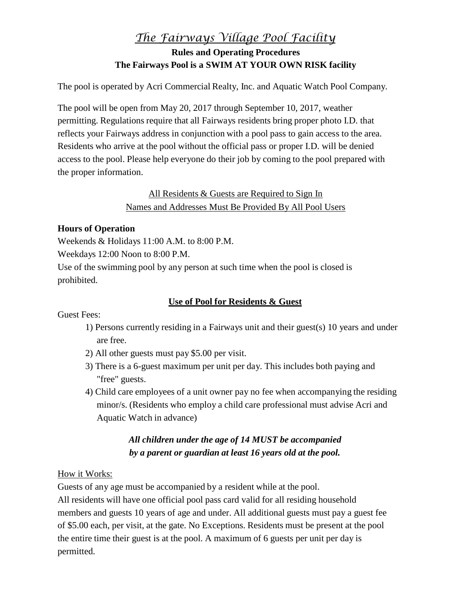### *The Fairways Village Pool Facility* **Rules and Operating Procedures The Fairways Pool is a SWIM AT YOUR OWN RISK facility**

The pool is operated by Acri Commercial Realty, Inc. and Aquatic Watch Pool Company.

The pool will be open from May 20, 2017 through September 10, 2017, weather permitting. Regulations require that all Fairways residents bring proper photo I.D. that reflects your Fairways address in conjunction with a pool pass to gain access to the area. Residents who arrive at the pool without the official pass or proper I.D. will be denied access to the pool. Please help everyone do their job by coming to the pool prepared with the proper information.

#### All Residents & Guests are Required to Sign In Names and Addresses Must Be Provided By All Pool Users

#### **Hours of Operation**

Weekends & Holidays 11:00 A.M. to 8:00 P.M.

Weekdays 12:00 Noon to 8:00 P.M.

Use of the swimming pool by any person at such time when the pool is closed is prohibited.

#### **Use of Pool for Residents & Guest**

Guest Fees:

- 1) Persons currently residing in a Fairways unit and their guest(s) 10 years and under are free.
- 2) All other guests must pay \$5.00 per visit.
- 3) There is a 6-guest maximum per unit per day. This includes both paying and "free" guests.
- 4) Child care employees of a unit owner pay no fee when accompanying the residing minor/s. (Residents who employ a child care professional must advise Acri and Aquatic Watch in advance)

#### *All children under the age of 14 MUST be accompanied by a parent or guardian at least 16 years old at the pool.*

#### How it Works:

Guests of any age must be accompanied by a resident while at the pool.

All residents will have one official pool pass card valid for all residing household members and guests 10 years of age and under. All additional guests must pay a guest fee of \$5.00 each, per visit, at the gate. No Exceptions. Residents must be present at the pool the entire time their guest is at the pool. A maximum of 6 guests per unit per day is permitted.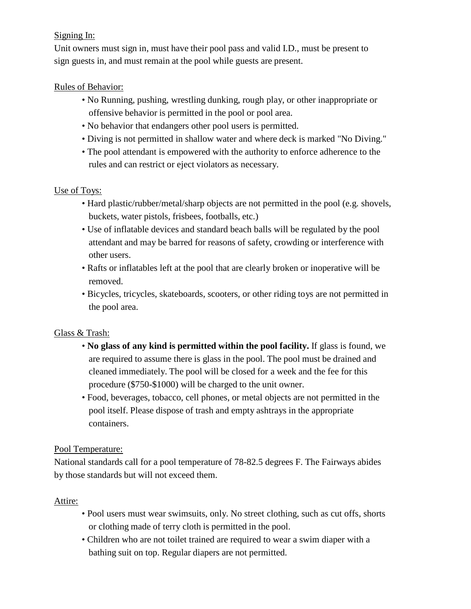#### Signing In:

Unit owners must sign in, must have their pool pass and valid I.D., must be present to sign guests in, and must remain at the pool while guests are present.

#### Rules of Behavior:

- No Running, pushing, wrestling dunking, rough play, or other inappropriate or offensive behavior is permitted in the pool or pool area.
- No behavior that endangers other pool users is permitted.
- Diving is not permitted in shallow water and where deck is marked "No Diving."
- The pool attendant is empowered with the authority to enforce adherence to the rules and can restrict or eject violators as necessary.

#### Use of Toys:

- Hard plastic/rubber/metal/sharp objects are not permitted in the pool (e.g. shovels, buckets, water pistols, frisbees, footballs, etc.)
- Use of inflatable devices and standard beach balls will be regulated by the pool attendant and may be barred for reasons of safety, crowding or interference with other users.
- Rafts or inflatables left at the pool that are clearly broken or inoperative will be removed.
- Bicycles, tricycles, skateboards, scooters, or other riding toys are not permitted in the pool area.

#### Glass & Trash:

- **No glass of any kind is permitted within the pool facility.** If glass is found, we are required to assume there is glass in the pool. The pool must be drained and cleaned immediately. The pool will be closed for a week and the fee for this procedure (\$750-\$1000) will be charged to the unit owner.
- Food, beverages, tobacco, cell phones, or metal objects are not permitted in the pool itself. Please dispose of trash and empty ashtrays in the appropriate containers.

#### Pool Temperature:

National standards call for a pool temperature of 78-82.5 degrees F. The Fairways abides by those standards but will not exceed them.

#### Attire:

- Pool users must wear swimsuits, only. No street clothing, such as cut offs, shorts or clothing made of terry cloth is permitted in the pool.
- Children who are not toilet trained are required to wear a swim diaper with a bathing suit on top. Regular diapers are not permitted.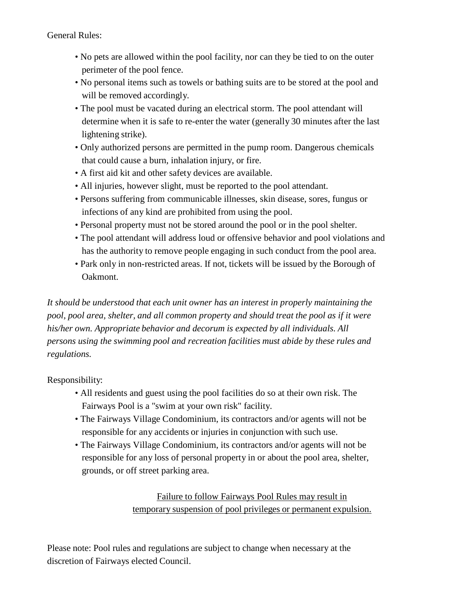General Rules:

- No pets are allowed within the pool facility, nor can they be tied to on the outer perimeter of the pool fence.
- No personal items such as towels or bathing suits are to be stored at the pool and will be removed accordingly.
- The pool must be vacated during an electrical storm. The pool attendant will determine when it is safe to re-enter the water (generally 30 minutes after the last lightening strike).
- Only authorized persons are permitted in the pump room. Dangerous chemicals that could cause a burn, inhalation injury, or fire.
- A first aid kit and other safety devices are available.
- All injuries, however slight, must be reported to the pool attendant.
- Persons suffering from communicable illnesses, skin disease, sores, fungus or infections of any kind are prohibited from using the pool.
- Personal property must not be stored around the pool or in the pool shelter.
- The pool attendant will address loud or offensive behavior and pool violations and has the authority to remove people engaging in such conduct from the pool area.
- Park only in non-restricted areas. If not, tickets will be issued by the Borough of Oakmont.

*It should be understood that each unit owner has an interest in properly maintaining the pool, pool area, shelter, and all common property and should treat the pool as if it were his/her own. Appropriate behavior and decorum is expected by all individuals. All persons using the swimming pool and recreation facilities must abide by these rules and regulations.*

Responsibility:

- All residents and guest using the pool facilities do so at their own risk. The Fairways Pool is a "swim at your own risk" facility.
- The Fairways Village Condominium, its contractors and/or agents will not be responsible for any accidents or injuries in conjunction with such use.
- The Fairways Village Condominium, its contractors and/or agents will not be responsible for any loss of personal property in or about the pool area, shelter, grounds, or off street parking area.

Failure to follow Fairways Pool Rules may result in temporary suspension of pool privileges or permanent expulsion.

Please note: Pool rules and regulations are subject to change when necessary at the discretion of Fairways elected Council.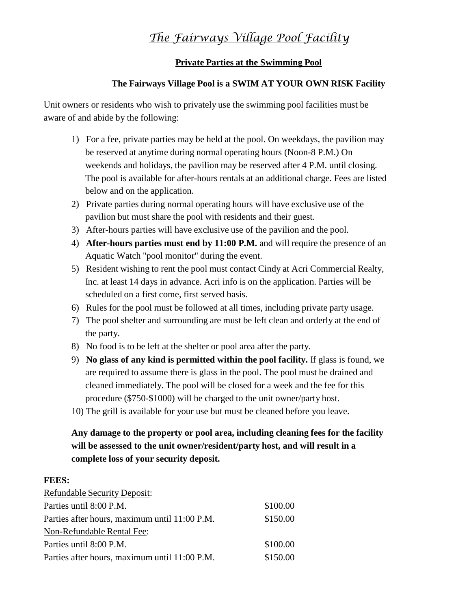## *The Fairways Village Pool Facility*

#### **Private Parties at the Swimming Pool**

#### **The Fairways Village Pool is a SWIM AT YOUR OWN RISK Facility**

Unit owners or residents who wish to privately use the swimming pool facilities must be aware of and abide by the following:

- 1) For a fee, private parties may be held at the pool. On weekdays, the pavilion may be reserved at anytime during normal operating hours (Noon-8 P.M.) On weekends and holidays, the pavilion may be reserved after 4 P.M. until closing. The pool is available for after-hours rentals at an additional charge. Fees are listed below and on the application.
- 2) Private parties during normal operating hours will have exclusive use of the pavilion but must share the pool with residents and their guest.
- 3) After-hours parties will have exclusive use of the pavilion and the pool.
- 4) **After-hours parties must end by 11:00 P.M.** and will require the presence of an Aquatic Watch "pool monitor" during the event.
- 5) Resident wishing to rent the pool must contact Cindy at Acri Commercial Realty, Inc. at least 14 days in advance. Acri info is on the application. Parties will be scheduled on a first come, first served basis.
- 6) Rules for the pool must be followed at all times, including private party usage.
- 7) The pool shelter and surrounding are must be left clean and orderly at the end of the party.
- 8) No food is to be left at the shelter or pool area after the party.
- 9) **No glass of any kind is permitted within the pool facility.** If glass is found, we are required to assume there is glass in the pool. The pool must be drained and cleaned immediately. The pool will be closed for a week and the fee for this procedure (\$750-\$1000) will be charged to the unit owner/party host.
- 10) The grill is available for your use but must be cleaned before you leave.

#### **Any damage to the property or pool area, including cleaning fees for the facility will be assessed to the unit owner/resident/party host, and will result in a complete loss of your security deposit.**

#### **FEES:**

| <b>Refundable Security Deposit:</b>           |          |
|-----------------------------------------------|----------|
| Parties until 8:00 P.M.                       | \$100.00 |
| Parties after hours, maximum until 11:00 P.M. | \$150.00 |
| Non-Refundable Rental Fee:                    |          |
| Parties until 8:00 P.M.                       | \$100.00 |
| Parties after hours, maximum until 11:00 P.M. | \$150.00 |